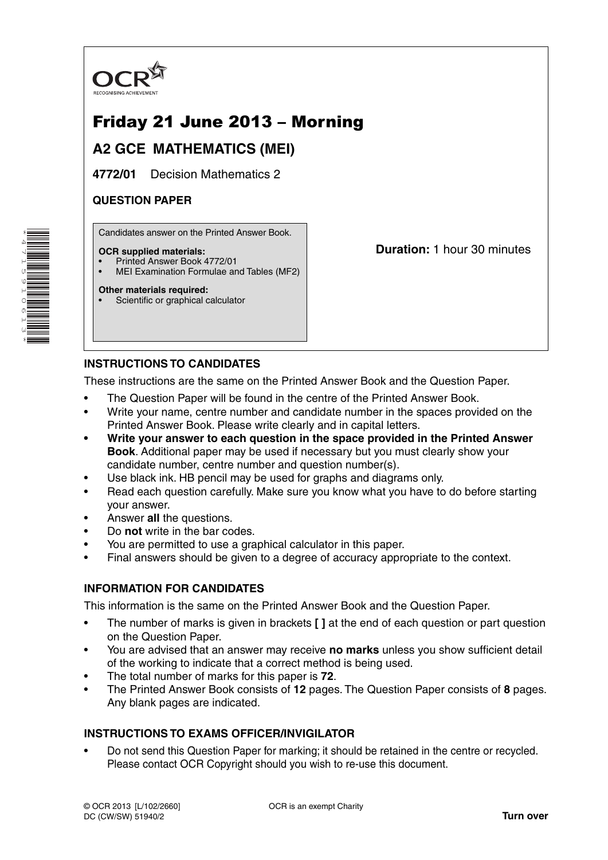

# Friday 21 June 2013 – Morning

## **A2 GCE MATHEMATICS (MEI)**

**4772/01** Decision Mathematics 2

### **QUESTION PAPER**

Candidates answer on the Printed Answer Book.

#### **OCR supplied materials:**

- Printed Answer Book 4772/01
- MEI Examination Formulae and Tables (MF2)

#### **Other materials required:**

Scientific or graphical calculator

**Duration:** 1 hour 30 minutes

### **INSTRUCTIONS TO CANDIDATES**

These instructions are the same on the Printed Answer Book and the Question Paper.

- The Question Paper will be found in the centre of the Printed Answer Book.
- Write your name, centre number and candidate number in the spaces provided on the Printed Answer Book. Please write clearly and in capital letters.
- **Write your answer to each question in the space provided in the Printed Answer Book**. Additional paper may be used if necessary but you must clearly show your candidate number, centre number and question number(s).
- Use black ink. HB pencil may be used for graphs and diagrams only.
- Read each question carefully. Make sure you know what you have to do before starting your answer.
- Answer **all** the questions.
- Do **not** write in the bar codes.
- You are permitted to use a graphical calculator in this paper.
- Final answers should be given to a degree of accuracy appropriate to the context.

#### **INFORMATION FOR CANDIDATES**

This information is the same on the Printed Answer Book and the Question Paper.

- The number of marks is given in brackets **[ ]** at the end of each question or part question on the Question Paper.
- You are advised that an answer may receive **no marks** unless you show sufficient detail of the working to indicate that a correct method is being used.
- The total number of marks for this paper is **72**.
- The Printed Answer Book consists of **12** pages. The Question Paper consists of **8** pages. Any blank pages are indicated.

#### **INSTRUCTIONS TO EXAMS OFFICER/INVIGILATOR**

• Do not send this Question Paper for marking; it should be retained in the centre or recycled. Please contact OCR Copyright should you wish to re-use this document.

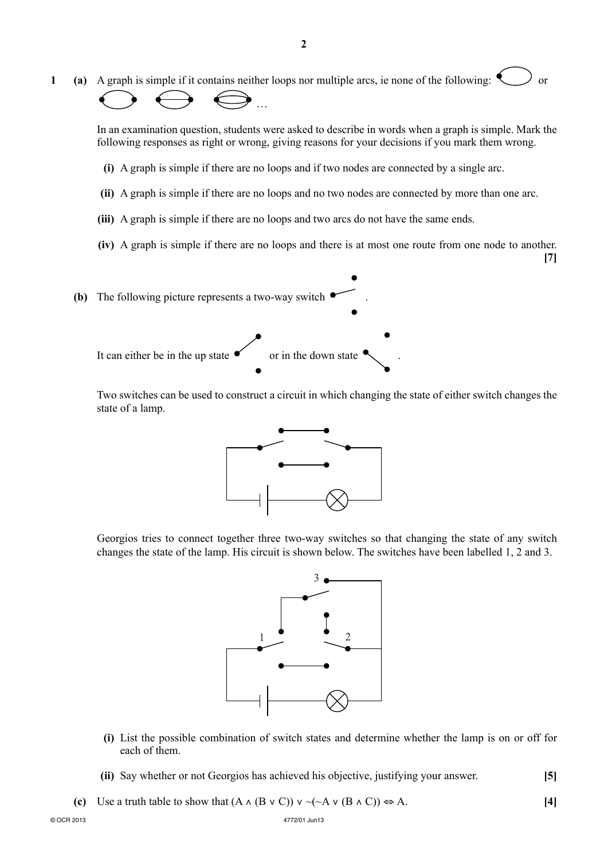**2**



In an examination question, students were asked to describe in words when a graph is simple. Mark the following responses as right or wrong, giving reasons for your decisions if you mark them wrong.

- **(i)** A graph is simple if there are no loops and if two nodes are connected by a single arc.
- **(ii)** A graph is simple if there are no loops and no two nodes are connected by more than one arc.
- **(iii)** A graph is simple if there are no loops and two arcs do not have the same ends.
- **(iv)** A graph is simple if there are no loops and there is at most one route from one node to another.

 **(b)** The following picture represents a two-way switch . It can either be in the up state  $\bullet$  or in the down state

Two switches can be used to construct a circuit in which changing the state of either switch changes the state of a lamp.



Georgios tries to connect together three two-way switches so that changing the state of any switch changes the state of the lamp. His circuit is shown below. The switches have been labelled 1, 2 and 3.



- **(i)** List the possible combination of switch states and determine whether the lamp is on or off for each of them.
- **(ii)** Say whether or not Georgios has achieved his objective, justifying your answer. **[5]**
- **(c)** Use a truth table to show that  $(A \land (B \lor C)) \lor \neg (\neg A \lor (B \land C)) \Leftrightarrow A$ . [4]

**[7]**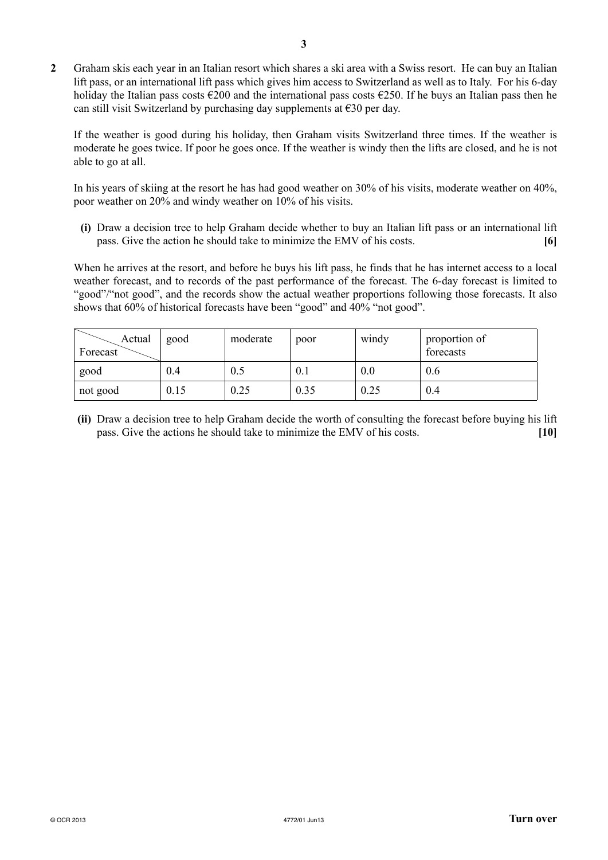**2** Graham skis each year in an Italian resort which shares a ski area with a Swiss resort. He can buy an Italian lift pass, or an international lift pass which gives him access to Switzerland as well as to Italy. For his 6-day holiday the Italian pass costs €200 and the international pass costs €250. If he buys an Italian pass then he can still visit Switzerland by purchasing day supplements at  $\epsilon$ 30 per day.

If the weather is good during his holiday, then Graham visits Switzerland three times. If the weather is moderate he goes twice. If poor he goes once. If the weather is windy then the lifts are closed, and he is not able to go at all.

In his years of skiing at the resort he has had good weather on 30% of his visits, moderate weather on 40%, poor weather on 20% and windy weather on 10% of his visits.

 **(i)** Draw a decision tree to help Graham decide whether to buy an Italian lift pass or an international lift pass. Give the action he should take to minimize the EMV of his costs. **[6]**

When he arrives at the resort, and before he buys his lift pass, he finds that he has internet access to a local weather forecast, and to records of the past performance of the forecast. The 6-day forecast is limited to "good"/"not good", and the records show the actual weather proportions following those forecasts. It also shows that 60% of historical forecasts have been "good" and 40% "not good".

| Actual<br>Forecast | good | moderate | poor             | windy | proportion of<br>forecasts |
|--------------------|------|----------|------------------|-------|----------------------------|
| good               | 0.4  | 0.5      | $\overline{0}$ . | 0.0   | 0.6                        |
| not good           | 0.15 | 0.25     | 0.35             | 0.25  | 0.4                        |

 **(ii)** Draw a decision tree to help Graham decide the worth of consulting the forecast before buying his lift pass. Give the actions he should take to minimize the EMV of his costs. **[10]**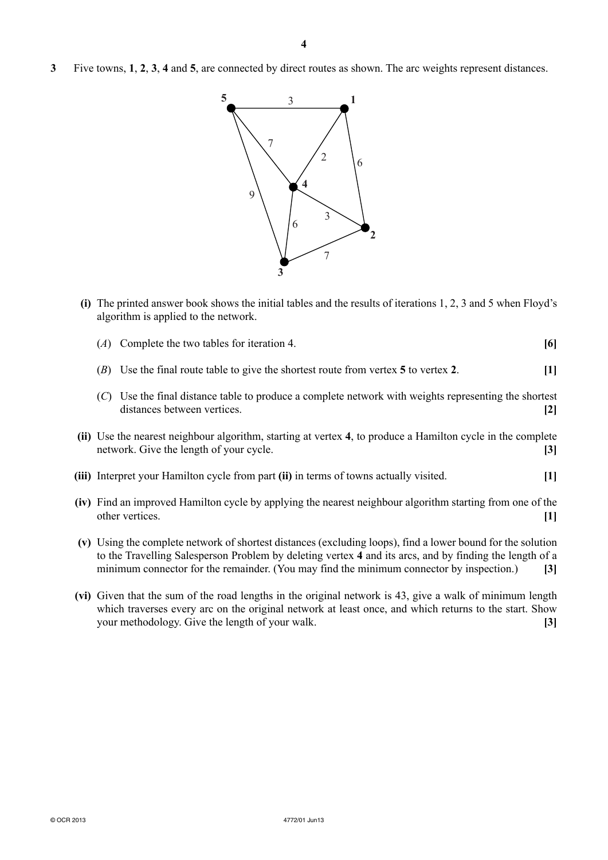**3** Five towns, **1**, **2**, **3**, **4** and **5**, are connected by direct routes as shown. The arc weights represent distances.



- **(i)** The printed answer book shows the initial tables and the results of iterations 1, 2, 3 and 5 when Floyd's algorithm is applied to the network.
	- (*A*) Complete the two tables for iteration 4. **[6]**
	- (*B*) Use the final route table to give the shortest route from vertex **5** to vertex **2**. **[1]**
	- (*C*) Use the final distance table to produce a complete network with weights representing the shortest distances between vertices. **[2]**
- **(ii)** Use the nearest neighbour algorithm, starting at vertex **4**, to produce a Hamilton cycle in the complete network. Give the length of your cycle. **[3]**
- **(iii)** Interpret your Hamilton cycle from part **(ii)** in terms of towns actually visited. **[1]**
- **(iv)** Find an improved Hamilton cycle by applying the nearest neighbour algorithm starting from one of the other vertices. **[1]**
- **(v)** Using the complete network of shortest distances (excluding loops), find a lower bound for the solution to the Travelling Salesperson Problem by deleting vertex **4** and its arcs, and by finding the length of a minimum connector for the remainder. (You may find the minimum connector by inspection.) **[3]**
- **(vi)** Given that the sum of the road lengths in the original network is 43, give a walk of minimum length which traverses every arc on the original network at least once, and which returns to the start. Show your methodology. Give the length of your walk. **[3]**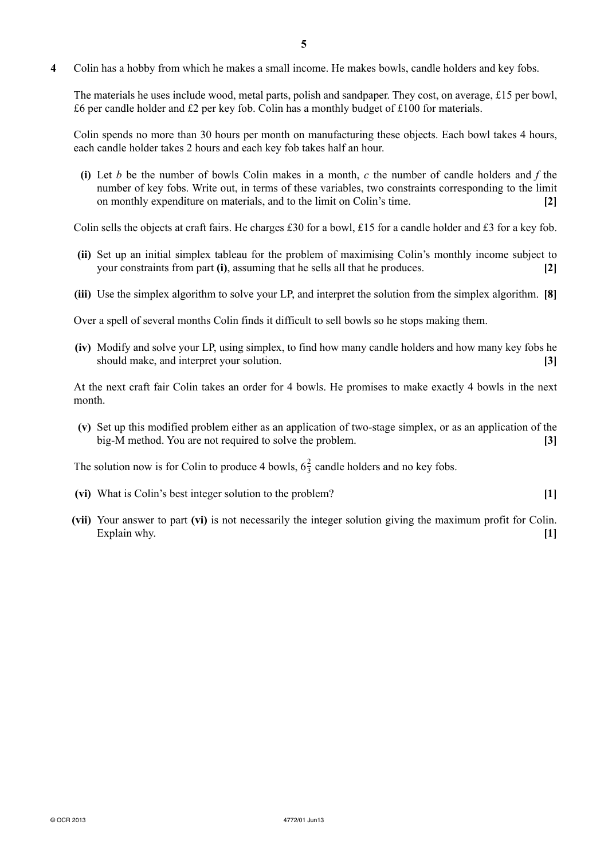**4** Colin has a hobby from which he makes a small income. He makes bowls, candle holders and key fobs.

The materials he uses include wood, metal parts, polish and sandpaper. They cost, on average, £15 per bowl, £6 per candle holder and £2 per key fob. Colin has a monthly budget of £100 for materials.

Colin spends no more than 30 hours per month on manufacturing these objects. Each bowl takes 4 hours, each candle holder takes 2 hours and each key fob takes half an hour.

 **(i)** Let *b* be the number of bowls Colin makes in a month, *c* the number of candle holders and *f* the number of key fobs. Write out, in terms of these variables, two constraints corresponding to the limit on monthly expenditure on materials, and to the limit on Colin's time. **[2]**

Colin sells the objects at craft fairs. He charges £30 for a bowl, £15 for a candle holder and £3 for a key fob.

- **(ii)** Set up an initial simplex tableau for the problem of maximising Colin's monthly income subject to your constraints from part **(i)**, assuming that he sells all that he produces. **[2]**
- **(iii)** Use the simplex algorithm to solve your LP, and interpret the solution from the simplex algorithm. **[8]**

Over a spell of several months Colin finds it difficult to sell bowls so he stops making them.

 **(iv)** Modify and solve your LP, using simplex, to find how many candle holders and how many key fobs he should make, and interpret your solution. **[3]**

At the next craft fair Colin takes an order for 4 bowls. He promises to make exactly 4 bowls in the next month.

 **(v)** Set up this modified problem either as an application of two-stage simplex, or as an application of the big-M method. You are not required to solve the problem. **[3]**

The solution now is for Colin to produce 4 bowls,  $6\frac{2}{3}$  candle holders and no key fobs.

- **(vi)** What is Colin's best integer solution to the problem? **[1]**
- **(vii)** Your answer to part **(vi)** is not necessarily the integer solution giving the maximum profit for Colin. Explain why. **[1]**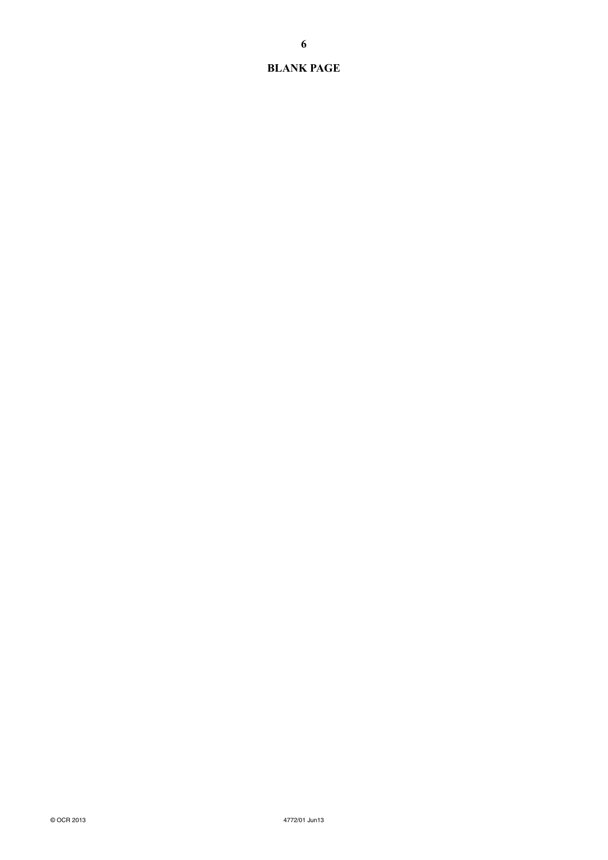#### **BLANK PAGE**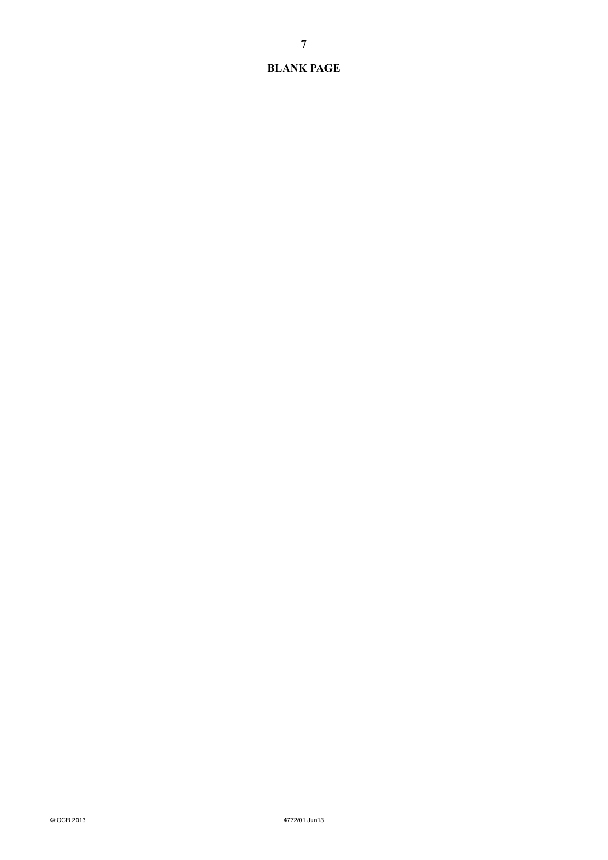#### **BLANK PAGE**